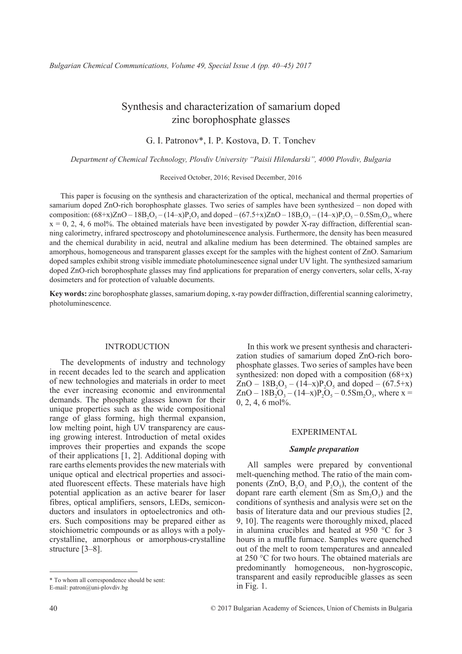# Synthesis and characterization of samarium doped zinc borophosphate glasses

G. I. Patronov\*, I. P. Kostova, D. T. Tonchev

*Department of Chemical Technology, Plovdiv University "Paisii Hilendarski", 4000 Plovdiv, Bulgaria*

Received October, 2016; Revised December, 2016

This paper is focusing on the synthesis and characterization of the optical, mechanical and thermal properties of samarium doped ZnO-rich borophosphate glasses. Two series of samples have been synthesized – non doped with composition:  $(68+x)ZnO - 18B_2O_3 - (14-x)P_2O_5$  and doped  $-(67.5+x)ZnO - 18B_2O_3 - (14-x)P_2O_5 - 0.5Sm_2O_3$ , where  $x = 0, 2, 4, 6$  mol%. The obtained materials have been investigated by powder X-ray diffraction, differential scanning calorimetry, infrared spectroscopy and photoluminescence analysis. Furthermore, the density has been measured and the chemical durability in acid, neutral and alkaline medium has been determined. The obtained samples are amorphous, homogeneous and transparent glasses except for the samples with the highest content of ZnO. Samarium doped samples exhibit strong visible immediate photoluminescence signal under UV light. The synthesized samarium doped ZnO-rich borophosphate glasses may find applications for preparation of energy converters, solar cells, X-ray dosimeters and for protection of valuable documents.

**Key words:** zinc borophosphate glasses, samarium doping, x-ray powder diffraction, differential scanning calorimetry, photoluminescence.

### **INTRODUCTION**

The developments of industry and technology in recent decades led to the search and application of new technologies and materials in order to meet the ever increasing economic and environmental demands. The phosphate glasses known for their unique properties such as the wide compositional range of glass forming, high thermal expansion, low melting point, high UV transparency are causing growing interest. Introduction of metal oxides improves their properties and expands the scope of their applications [1, 2]. Additional doping with rare earths elements provides the new materials with unique optical and electrical properties and associated fluorescent effects. These materials have high potential application as an active bearer for laser fibres, optical amplifiers, sensors, LEDs, semiconductors and insulators in optoelectronics and others. Such compositions may be prepared either as stoichiometric compounds or as alloys with a polycrystalline, amorphous or amorphous-crystalline structure [3–8].

In this work we present synthesis and characterization studies of samarium doped ZnO-rich borophosphate glasses. Two series of samples have been synthesized: non doped with a composition  $(68+x)$  $ZnO - 18B_2O_3 - (14-x)P_2O_5$  and doped  $- (67.5+x)$  $ZnO - 18B_2O_3 - (14-x)P_2O_5 - 0.5Sm_2O_3$ , where x =  $0, 2, 4, 6$  mol%.

### Experimental

### *Sample preparation*

All samples were prepared by conventional melt-quenching method. The ratio of the main components (ZnO,  $B_2O_3$  and  $P_2O_5$ ), the content of the dopant rare earth element  $(Sm \text{ as } Sm_2O_3)$  and the conditions of synthesis and analysis were set on the basis of literature data and our previous studies [2, 9, 10]. The reagents were thoroughly mixed, placed in alumina crucibles and heated at 950 °C for 3 hours in a muffle furnace. Samples were quenched out of the melt to room temperatures and annealed at 250 °C for two hours. The obtained materials are predominantly homogeneous, non-hygroscopic, transparent and easily reproducible glasses as seen in Fig. 1.

<sup>\*</sup> To whom all correspondence should be sent: E-mail: patron@uni-plovdiv.bg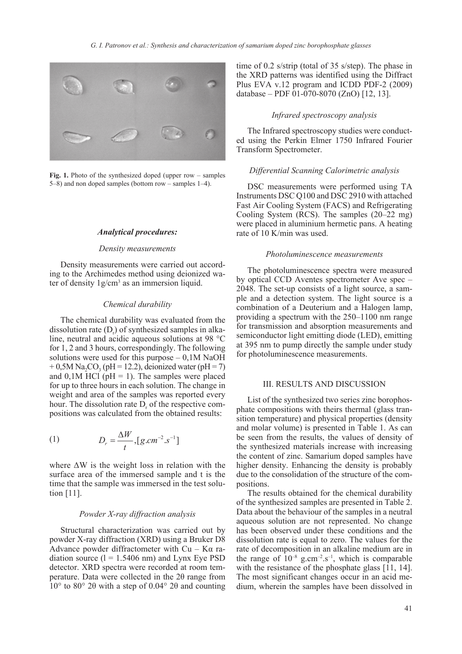

Fig. 1. Photo of the synthesized doped (upper row – samples 5–8) and non doped samples (bottom row – samples 1–4).

### *Analytical procedures:*

### *Density measurements*

Density measurements were carried out according to the Archimedes method using deionized water of density  $1g/cm<sup>3</sup>$  as an immersion liquid.

### *Chemical durability*

The chemical durability was evaluated from the dissolution rate  $(D<sub>r</sub>)$  of synthesized samples in alkaline, neutral and acidic aqueous solutions at 98 °C for 1, 2 and 3 hours, correspondingly. The following solutions were used for this purpose  $-0,1M$  NaOH  $+ 0.5M$  Na<sub>2</sub>CO<sub>3</sub> (pH = 12.2), deionized water (pH = 7) and  $0,1M$  HCl ( $pH = 1$ ). The samples were placed for up to three hours in each solution. The change in weight and area of the samples was reported every hour. The dissolution rate  $D_r$  of the respective compositions was calculated from the obtained results:

(1) 
$$
D_r = \frac{\Delta W}{t}, [g.cm^{-2}.s^{-1}]
$$

where  $\Delta W$  is the weight loss in relation with the surface area of the immersed sample and t is the time that the sample was immersed in the test solution [11].

# *Powder X-ray diffraction analysis*

Structural characterization was carried out by powder X-ray diffraction (XRD) using a Bruker D8 Advance powder diffractometer with  $Cu - Ka$  radiation source  $(l = 1.5406$  nm) and Lynx Eye PSD detector. XRD spectra were recorded at room temperature. Data were collected in the 2θ range from 10° to 80° 2θ with a step of 0.04° 2θ and counting time of 0.2 s/strip (total of 35 s/step). The phase in the XRD patterns was identified using the Diffract Plus EVA v.12 program and ICDD PDF-2 (2009) database – PDF 01-070-8070 (ZnO) [12, 13].

### *Infrared spectroscopy analysis*

The Infrared spectroscopy studies were conducted using the Perkin Elmer 1750 Infrared Fourier Transform Spectrometer.

### *Differential Scanning Calorimetric analysis*

DSC measurements were performed using TA Instruments DSC Q100 and DSC 2910 with attached Fast Air Cooling System (FACS) and Refrigerating Cooling System (RCS). The samples (20–22 mg) were placed in aluminium hermetic pans. A heating rate of 10 K/min was used.

### *Photoluminescence measurements*

The photoluminescence spectra were measured by optical CCD Aventes spectrometer Ave spec – 2048. The set-up consists of a light source, a sample and a detection system. The light source is a combination of a Deuterium and a Halogen lamp, providing a spectrum with the 250–1100 nm range for transmission and absorption measurements and semiconductor light emitting diode (LED), emitting at 395 nm to pump directly the sample under study for photoluminescence measurements.

### III. RESULTS AND DISCUSSION

List of the synthesized two series zinc borophosphate compositions with theirs thermal (glass transition temperature) and physical properties (density and molar volume) is presented in Table 1. As can be seen from the results, the values of density of the synthesized materials increase with increasing the content of zinc. Samarium doped samples have higher density. Enhancing the density is probably due to the consolidation of the structure of the compositions.

The results obtained for the chemical durability of the synthesized samples are presented in Table 2. Data about the behaviour of the samples in a neutral aqueous solution are not represented. No change has been observed under these conditions and the dissolution rate is equal to zero. The values for the rate of decomposition in an alkaline medium are in the range of  $10^{-8}$  g.cm<sup>-2</sup>.s<sup>-1</sup>, which is comparable with the resistance of the phosphate glass [11, 14]. The most significant changes occur in an acid medium, wherein the samples have been dissolved in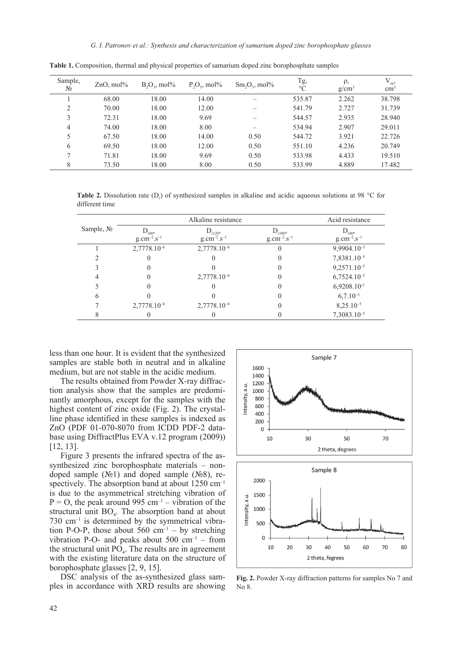| Sample,<br>$N_2$ | $ZnO$ , mol% | $B_2O_3$ , mol% | $P_2O_5$ , mol% | $Sm_2O_3$ , mol% | $Tg,$<br>°C | $\rho$ ,<br>$g/cm^3$ | $V_{m}$<br>$\rm cm^3$ |
|------------------|--------------|-----------------|-----------------|------------------|-------------|----------------------|-----------------------|
|                  | 68.00        | 18.00           | 14.00           |                  | 535.87      | 2.262                | 38.798                |
| 2                | 70.00        | 18.00           | 12.00           |                  | 541.79      | 2.727                | 31.739                |
| 3                | 72.31        | 18.00           | 9.69            |                  | 544.57      | 2.935                | 28.940                |
| 4                | 74.00        | 18.00           | 8.00            |                  | 534.94      | 2.907                | 29.011                |
| 5                | 67.50        | 18.00           | 14.00           | 0.50             | 544.72      | 3.921                | 22.726                |
| 6                | 69.50        | 18.00           | 12.00           | 0.50             | 551.10      | 4.236                | 20.749                |
|                  | 71.81        | 18.00           | 9.69            | 0.50             | 533.98      | 4.433                | 19.510                |
| 8                | 73.50        | 18.00           | 8.00            | 0.50             | 533.99      | 4.889                | 17.482                |

**Table 1.** Composition, thermal and physical properties of samarium doped zinc borophosphate samples

**Table 2.** Dissolution rate  $(D<sub>r</sub>)$  of synthesized samples in alkaline and acidic aqueous solutions at 98 °C for different time

|               |                    | Acid resistance    |                    |                    |
|---------------|--------------------|--------------------|--------------------|--------------------|
| Sample, $N_2$ | $D_{r60}$          | $D_{r120}$         | $D_{r180}$         | $D_{r40}$          |
|               | $g.cm^{-2}.s^{-1}$ | $g.cm^{-2}.s^{-1}$ | $g.cm^{-2}.s^{-1}$ | $g.cm^{-2}.s^{-1}$ |
|               | $2,7778.10^{-8}$   | $2,7778.10^{-8}$   |                    | 9,9904.10-5        |
|               |                    |                    |                    | 7,8381.10-5        |
|               |                    |                    |                    | $9,2571.10^{-5}$   |
| 4             |                    | $2,7778.10^{-8}$   |                    | $6,7524.10^{-5}$   |
|               |                    |                    |                    | $6,9208.10^{-5}$   |
| 6             |                    |                    |                    | $6,7.10^{-5}$      |
|               | $2,7778.10^{-8}$   | $2,7778.10^{-8}$   |                    | $8,25.10^{-5}$     |
|               |                    |                    |                    | $7,3083.10^{-5}$   |

less than one hour. It is evident that the synthesized samples are stable both in neutral and in alkaline medium, but are not stable in the acidic medium.

The results obtained from Powder X-ray diffraction analysis show that the samples are predominantly amorphous, except for the samples with the highest content of zinc oxide (Fig. 2). The crystalline phase identified in these samples is indexed as ZnO (PDF 01-070-8070 from ICDD PDF-2 database using DiffractPlus EVA v.12 program (2009)) [12, 13].

Figure 3 presents the infrared spectra of the assynthesized zinc borophosphate materials – nondoped sample  $(N<sub>2</sub>1)$  and doped sample  $(N<sub>2</sub>8)$ , respectively. The absorption band at about  $1250 \text{ cm}^{-1}$ is due to the asymmetrical stretching vibration of  $P = O$ , the peak around 995 cm<sup>-1</sup> – vibration of the structural unit  $BO<sub>4</sub>$ . The absorption band at about  $730 \text{ cm}^{-1}$  is determined by the symmetrical vibration P-O-P, those about  $560 \text{ cm}^{-1}$  – by stretching vibration P-O- and peaks about  $500 \text{ cm}^{-1}$  – from the structural unit  $\overrightarrow{PQ}_4$ . The results are in agreement with the existing literature data on the structure of borophosphate glasses [2, 9, 15].

DSC analysis of the as-synthesized glass samples in accordance with XRD results are showing



**Fig. 2.** Powder X-ray diffraction patterns for samples No 7 and No 8.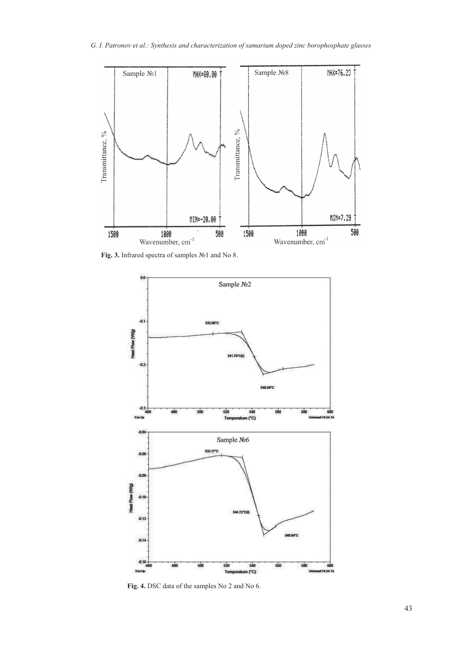

**Fig. 3.** Infrared spectra of samples №1 and No 8.



**Fig. 4.** DSC data of the samples No 2 and No 6.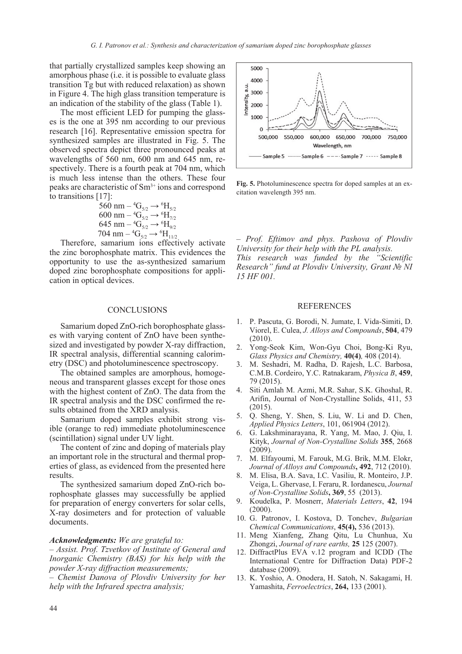that partially crystallized samples keep showing an amorphous phase (i.e. it is possible to evaluate glass transition Tg but with reduced relaxation) as shown in Figure 4. The high glass transition temperature is an indication of the stability of the glass (Table 1).

The most efficient LED for pumping the glasses is the one at 395 nm according to our previous research [16]. Representative emission spectra for synthesized samples are illustrated in Fig. 5. The observed spectra depict three pronounced peaks at wavelengths of 560 nm, 600 nm and 645 nm, respectively. There is a fourth peak at 704 nm, which is much less intense than the others. These four peaks are characteristic of Sm3+ ions and correspond to transitions [17]:

$$
560 \text{ nm} - {}^{4}\text{G}_{5/2} \rightarrow {}^{6}\text{H}_{5/2} \n600 \text{ nm} - {}^{4}\text{G}_{5/2} \rightarrow {}^{6}\text{H}_{7/2} \n645 \text{ nm} - {}^{4}\text{G}_{5/2} \rightarrow {}^{6}\text{H}_{9/2} \n704 \text{ nm} - {}^{4}\text{G}_{5/2} \rightarrow {}^{6}\text{H}_{911/2}.
$$

Therefore, samarium ions effectively activate the zinc borophosphate matrix. This evidences the opportunity to use the as-synthesized samarium doped zinc borophosphate compositions for application in optical devices.

### **CONCLUSIONS**

Samarium doped ZnO-rich borophosphate glasses with varying content of ZnO have been synthesized and investigated by powder X-ray diffraction, IR spectral analysis, differential scanning calorimetry (DSC) and photoluminescence spectroscopy.

The obtained samples are amorphous, homogeneous and transparent glasses except for those ones with the highest content of ZnO. The data from the IR spectral analysis and the DSC confirmed the results obtained from the XRD analysis.

Samarium doped samples exhibit strong visible (orange to red) immediate photoluminescence (scintillation) signal under UV light.

The content of zinc and doping of materials play an important role in the structural and thermal properties of glass, as evidenced from the presented here results.

The synthesized samarium doped ZnO-rich borophosphate glasses may successfully be applied for preparation of energy converters for solar cells, X-ray dosimeters and for protection of valuable documents.

#### *Acknowledgments: We are grateful to:*

*– Assist. Prof. Tzvetkov of Institute of General and Inorganic Chemistry (BAS) for his help with the powder X-ray diffraction measurements;*

*– Chemist Danova of Plovdiv University for her help with the Infrared spectra analysis;*



**Fig. 5.** Photoluminescence spectra for doped samples at an excitation wavelength 395 nm.

*– Prof. Eftimov and phys. Pashova of Plovdiv University for their help with the PL analysis. This research was funded by the "Scientific Research" fund at Plovdiv University, Grant № NI 15 HF 001.*

#### **REFERENCES**

- 1. P. Pascuta, G. Borodi, N. Jumate, I. Vida-Simiti, D. Viorel, E. Culea, *J. Alloys and Compounds*, **504**, 479 (2010).
- 2. Yong-Seok Kim, Won-Gyu Choi, Bong-Ki Ryu, *Glass Physics and Chemistry,* **40(4)***,* 408 (2014).
- 3. M. Seshadri, M. Radha, D. Rajesh, L.C. Barbosa, C.M.B. Cordeiro, Y.C. Ratnakaram, *Physica B*, **459**, 79 (2015).
- 4. Siti Amlah M. Azmi, M.R. Sahar, S.K. Ghoshal, R. Arifin, Journal of Non-Crystalline Solids, 411, 53 (2015).
- 5. Q. Sheng, Y. Shen, S. Liu, W. Li and D. Chen, *Applied Physics Letters*, 101, 061904 (2012).
- 6. G. Lakshminarayana, R. Yang, M. Mao, J. Qiu, I. Kityk, *Journal of Non-Crystalline Solids* **355**, 2668 (2009).
- 7. M. Elfayoumi, M. Farouk, M.G. Brik, M.M. Elokr, *Journal of Alloys and Compounds***, 492**, 712 (2010).
- 8. M. Elisa, B.A. Sava, I.C. Vasiliu, R. Monteiro, J.P. Veiga, L. Ghervase, I. Feraru, R. Iordanescu, *Journal of Non-Crystalline Solids***, 369**, 55(2013).
- 9. Koudelka, P. Mosnerr, *Materials Letters*, **42**, 194  $(2000).$
- 10. G. Patronov, I. Kostova, D. Tonchev, *Bulgarian Chemical Communications*, **45(4),** 536 (2013).
- 11. Meng Xianfeng, Zhang Qitu, Lu Chunhua, Xu Zhongzi, *Journal of rare earths,* **25** 125 (2007).
- 12. DiffractPlus EVA v.12 program and ICDD (The International Centre for Diffraction Data) PDF-2 database (2009).
- 13. K. Yoshio, A. Onodera, H. Satoh, N. Sakagami, H. Yamashita, *Ferroelectrics*, **264,** 133 (2001).